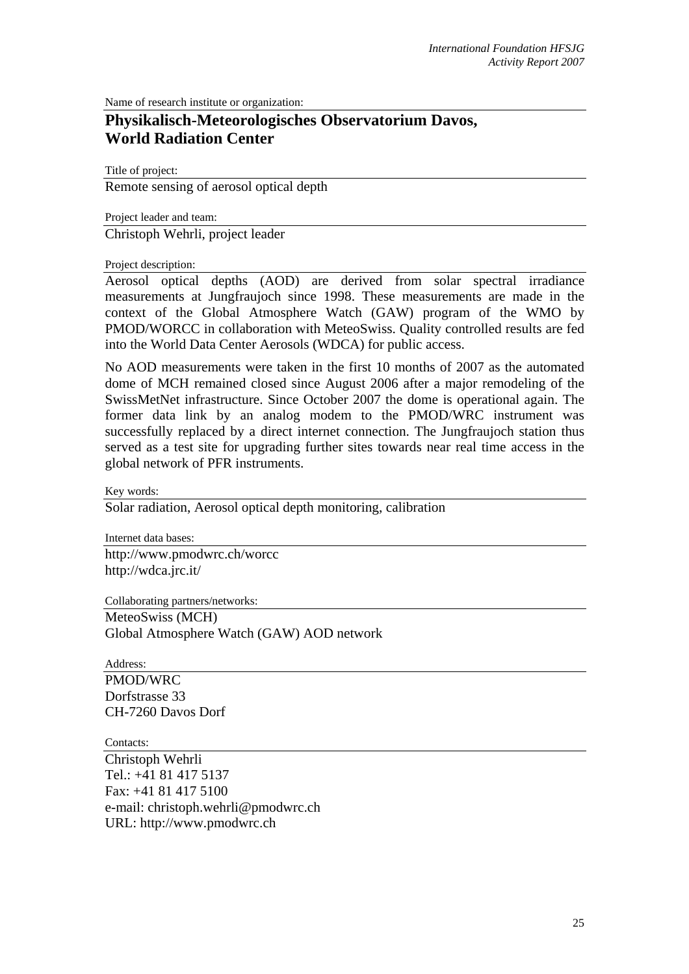Name of research institute or organization:

## **Physikalisch-Meteorologisches Observatorium Davos, World Radiation Center**

Title of project:

Remote sensing of aerosol optical depth

Project leader and team:

Christoph Wehrli, project leader

Project description:

Aerosol optical depths (AOD) are derived from solar spectral irradiance measurements at Jungfraujoch since 1998. These measurements are made in the context of the Global Atmosphere Watch (GAW) program of the WMO by PMOD/WORCC in collaboration with MeteoSwiss. Quality controlled results are fed into the World Data Center Aerosols (WDCA) for public access.

No AOD measurements were taken in the first 10 months of 2007 as the automated dome of MCH remained closed since August 2006 after a major remodeling of the SwissMetNet infrastructure. Since October 2007 the dome is operational again. The former data link by an analog modem to the PMOD/WRC instrument was successfully replaced by a direct internet connection. The Jungfraujoch station thus served as a test site for upgrading further sites towards near real time access in the global network of PFR instruments.

Key words:

Solar radiation, Aerosol optical depth monitoring, calibration

Internet data bases: http://www.pmodwrc.ch/worcc http://wdca.jrc.it/

Collaborating partners/networks:

MeteoSwiss (MCH) Global Atmosphere Watch (GAW) AOD network

Address:

PMOD/WRC Dorfstrasse 33 CH-7260 Davos Dorf

Contacts:

Christoph Wehrli Tel.: +41 81 417 5137 Fax: +41 81 417 5100 e-mail: christoph.wehrli@pmodwrc.ch URL: http://www.pmodwrc.ch